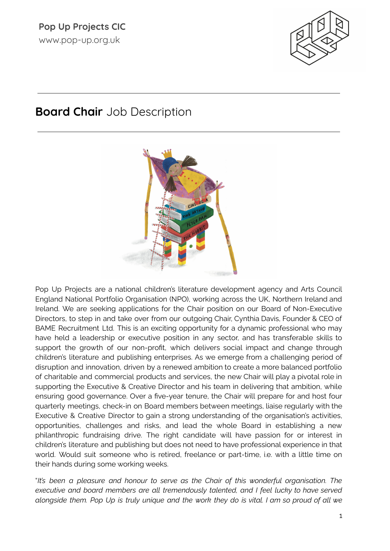

# **Board Chair** Job Description



Pop Up Projects are a national children's literature development agency and Arts Council England National Portfolio Organisation (NPO), working across the UK, Northern Ireland and Ireland. We are seeking applications for the Chair position on our Board of Non-Executive Directors, to step in and take over from our outgoing Chair, Cynthia Davis, Founder & CEO of BAME Recruitment Ltd. This is an exciting opportunity for a dynamic professional who may have held a leadership or executive position in any sector, and has transferable skills to support the growth of our non-profit, which delivers social impact and change through children's literature and publishing enterprises. As we emerge from a challenging period of disruption and innovation, driven by a renewed ambition to create a more balanced portfolio of charitable and commercial products and services, the new Chair will play a pivotal role in supporting the Executive & Creative Director and his team in delivering that ambition, while ensuring good governance. Over a five-year tenure, the Chair will prepare for and host four quarterly meetings, check-in on Board members between meetings, liaise regularly with the Executive & Creative Director to gain a strong understanding of the organisation's activities, opportunities, challenges and risks, and lead the whole Board in establishing a new philanthropic fundraising drive. The right candidate will have passion for or interest in children's literature and publishing but does not need to have professional experience in that world. Would suit someone who is retired, freelance or part-time, i.e. with a little time on their hands during some working weeks.

"*It's been a pleasure and honour to serve as the Chair of this wonderful organisation. The executive and board members are all tremendously talented, and I feel lucky to have served* alongside them. Pop Up is truly unique and the work they do is vital. I am so proud of all we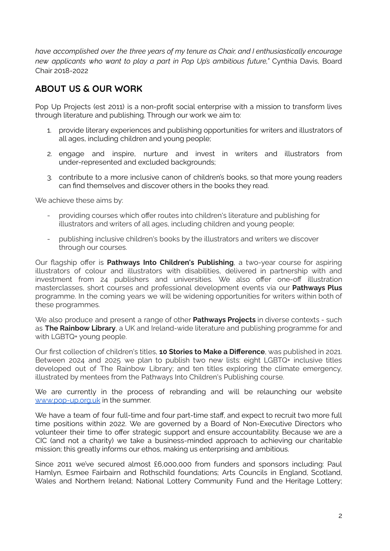*have accomplished over the three years of my tenure as Chair, and I enthusiastically encourage new applicants who want to play a part in Pop Up's ambitious future,"* Cynthia Davis, Board Chair 2018-2022

#### **ABOUT US & OUR WORK**

Pop Up Projects (est 2011) is a non-profit social enterprise with a mission to transform lives through literature and publishing. Through our work we aim to:

- 1. provide literary experiences and publishing opportunities for writers and illustrators of all ages, including children and young people;
- 2. engage and inspire, nurture and invest in writers and illustrators from under-represented and excluded backgrounds;
- 3. contribute to a more inclusive canon of children's books, so that more young readers can find themselves and discover others in the books they read.

We achieve these aims by:

- providing courses which offer routes into children's literature and publishing for illustrators and writers of all ages, including children and young people;
- publishing inclusive children's books by the illustrators and writers we discover through our courses.

Our flagship offer is **Pathways Into Children's Publishing**, a two-year course for aspiring illustrators of colour and illustrators with disabilities, delivered in partnership with and investment from 24 publishers and universities. We also offer one-off illustration masterclasses, short courses and professional development events via our **Pathways Plus** programme. In the coming years we will be widening opportunities for writers within both of these programmes.

We also produce and present a range of other **Pathways Projects** in diverse contexts - such as **The Rainbow Library**, a UK and Ireland-wide literature and publishing programme for and with LGBTQ+ young people.

Our first collection of children's titles, **10 Stories to Make a Difference**, was published in 2021. Between 2024 and 2025 we plan to publish two new lists: eight LGBTQ+ inclusive titles developed out of The Rainbow Library; and ten titles exploring the climate emergency, illustrated by mentees from the Pathways Into Children's Publishing course.

We are currently in the process of rebranding and will be relaunching our website [www.pop-up.org.uk](http://www.pop-up.org.uk) in the summer.

We have a team of four full-time and four part-time staff, and expect to recruit two more full time positions within 2022. We are governed by a Board of Non-Executive Directors who volunteer their time to offer strategic support and ensure accountability. Because we are a CIC (and not a charity) we take a business-minded approach to achieving our charitable mission; this greatly informs our ethos, making us enterprising and ambitious.

Since 2011 we've secured almost £6,000,000 from funders and sponsors including: Paul Hamlyn, Esmee Fairbairn and Rothschild foundations; Arts Councils in England, Scotland, Wales and Northern Ireland; National Lottery Community Fund and the Heritage Lottery;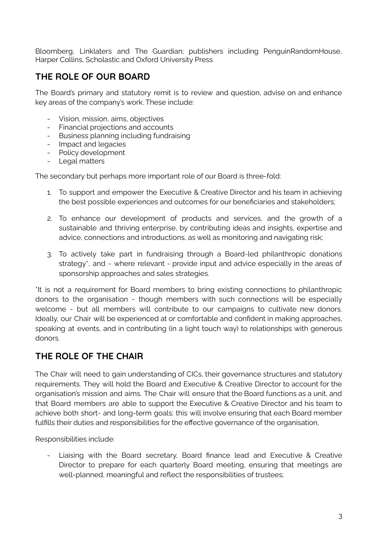Bloomberg, Linklaters and The Guardian; publishers including PenguinRandomHouse, Harper Collins, Scholastic and Oxford University Press

## **THE ROLE OF OUR BOARD**

The Board's primary and statutory remit is to review and question, advise on and enhance key areas of the company's work. These include:

- Vision, mission, aims, objectives
- Financial projections and accounts
- Business planning including fundraising
- Impact and legacies
- Policy development
- Legal matters

The secondary but perhaps more important role of our Board is three-fold:

- 1. To support and empower the Executive & Creative Director and his team in achieving the best possible experiences and outcomes for our beneficiaries and stakeholders;
- 2. To enhance our development of products and services, and the growth of a sustainable and thriving enterprise, by contributing ideas and insights, expertise and advice, connections and introductions, as well as monitoring and navigating risk;
- 3. To actively take part in fundraising through a Board-led philanthropic donations strategy\*, and - where relevant - provide input and advice especially in the areas of sponsorship approaches and sales strategies.

\*It is not a requirement for Board members to bring existing connections to philanthropic donors to the organisation - though members with such connections will be especially welcome - but all members will contribute to our campaigns to cultivate new donors. Ideally, our Chair will be experienced at or comfortable and confident in making approaches, speaking at events, and in contributing (in a light touch way) to relationships with generous donors.

## **THE ROLE OF THE CHAIR**

The Chair will need to gain understanding of CICs, their governance structures and statutory requirements. They will hold the Board and Executive & Creative Director to account for the organisation's mission and aims. The Chair will ensure that the Board functions as a unit, and that Board members are able to support the Executive & Creative Director and his team to achieve both short- and long-term goals; this will involve ensuring that each Board member fulfills their duties and responsibilities for the effective governance of the organisation,

Responsibilities include:

Liaising with the Board secretary, Board finance lead and Executive & Creative Director to prepare for each quarterly Board meeting, ensuring that meetings are well-planned, meaningful and reflect the responsibilities of trustees;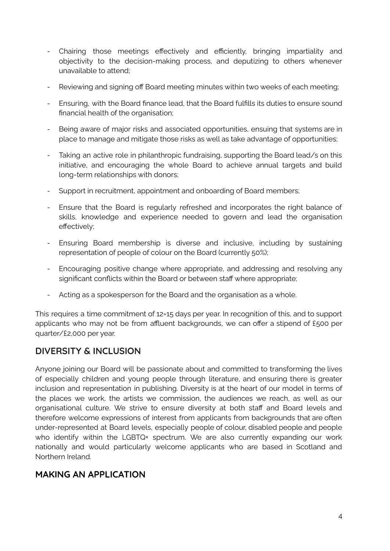- Chairing those meetings effectively and efficiently, bringing impartiality and objectivity to the decision-making process, and deputizing to others whenever unavailable to attend;
- Reviewing and signing off Board meeting minutes within two weeks of each meeting;
- Ensuring, with the Board finance lead, that the Board fulfills its duties to ensure sound financial health of the organisation;
- Being aware of major risks and associated opportunities, ensuing that systems are in place to manage and mitigate those risks as well as take advantage of opportunities;
- Taking an active role in philanthropic fundraising, supporting the Board lead/s on this initiative, and encouraging the whole Board to achieve annual targets and build long-term relationships with donors;
- Support in recruitment, appointment and onboarding of Board members;
- Ensure that the Board is regularly refreshed and incorporates the right balance of skills, knowledge and experience needed to govern and lead the organisation effectively;
- Ensuring Board membership is diverse and inclusive, including by sustaining representation of people of colour on the Board (currently 50%);
- Encouraging positive change where appropriate, and addressing and resolving any significant conflicts within the Board or between staff where appropriate;
- Acting as a spokesperson for the Board and the organisation as a whole.

This requires a time commitment of 12=15 days per year. In recognition of this, and to support applicants who may not be from affluent backgrounds, we can offer a stipend of £500 per quarter/£2,000 per year.

## **DIVERSITY & INCLUSION**

Anyone joining our Board will be passionate about and committed to transforming the lives of especially children and young people through literature, and ensuring there is greater inclusion and representation in publishing. Diversity is at the heart of our model in terms of the places we work, the artists we commission, the audiences we reach, as well as our organisational culture. We strive to ensure diversity at both staff and Board levels and therefore welcome expressions of interest from applicants from backgrounds that are often under-represented at Board levels, especially people of colour, disabled people and people who identify within the LGBTQ+ spectrum. We are also currently expanding our work nationally and would particularly welcome applicants who are based in Scotland and Northern Ireland.

#### **MAKING AN APPLICATION**